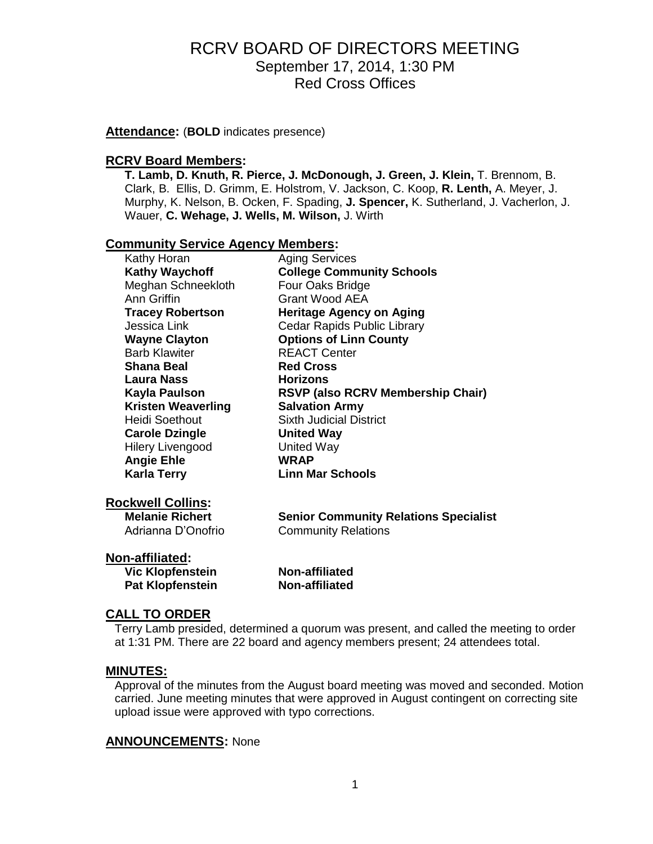**Attendance:** (**BOLD** indicates presence)

#### **RCRV Board Members:**

**T. Lamb, D. Knuth, R. Pierce, J. McDonough, J. Green, J. Klein,** T. Brennom, B. Clark, B. Ellis, D. Grimm, E. Holstrom, V. Jackson, C. Koop, **R. Lenth,** A. Meyer, J. Murphy, K. Nelson, B. Ocken, F. Spading, **J. Spencer,** K. Sutherland, J. Vacherlon, J. Wauer, **C. Wehage, J. Wells, M. Wilson,** J. Wirth

#### **Community Service Agency Members:**

| Kathy Horan               | <b>Aging Services</b>                    |
|---------------------------|------------------------------------------|
| <b>Kathy Waychoff</b>     | <b>College Community Schools</b>         |
| Meghan Schneekloth        | Four Oaks Bridge                         |
| Ann Griffin               | <b>Grant Wood AEA</b>                    |
| <b>Tracey Robertson</b>   | <b>Heritage Agency on Aging</b>          |
| Jessica Link              | Cedar Rapids Public Library              |
| <b>Wayne Clayton</b>      | <b>Options of Linn County</b>            |
| <b>Barb Klawiter</b>      | <b>REACT Center</b>                      |
| Shana Beal                | <b>Red Cross</b>                         |
| Laura Nass                | <b>Horizons</b>                          |
| Kayla Paulson             | <b>RSVP (also RCRV Membership Chair)</b> |
| <b>Kristen Weaverling</b> | <b>Salvation Army</b>                    |
| Heidi Soethout            | <b>Sixth Judicial District</b>           |
| <b>Carole Dzingle</b>     | <b>United Way</b>                        |
| <b>Hilery Livengood</b>   | United Way                               |
| <b>Angie Ehle</b>         | <b>WRAP</b>                              |
| Karla Terry               | <b>Linn Mar Schools</b>                  |
|                           |                                          |

### **Rockwell Collins:**

| <b>Melanie Richert</b> | <b>Senior Community Relations Specialist</b> |
|------------------------|----------------------------------------------|
| Adrianna D'Onofrio     | <b>Community Relations</b>                   |

### **Non-affiliated:**

**Vic Klopfenstein Non-affiliated Pat Klopfenstein Non-affiliated**

## **CALL TO ORDER**

Terry Lamb presided, determined a quorum was present, and called the meeting to order at 1:31 PM. There are 22 board and agency members present; 24 attendees total.

### **MINUTES:**

Approval of the minutes from the August board meeting was moved and seconded. Motion carried. June meeting minutes that were approved in August contingent on correcting site upload issue were approved with typo corrections.

### **ANNOUNCEMENTS:** None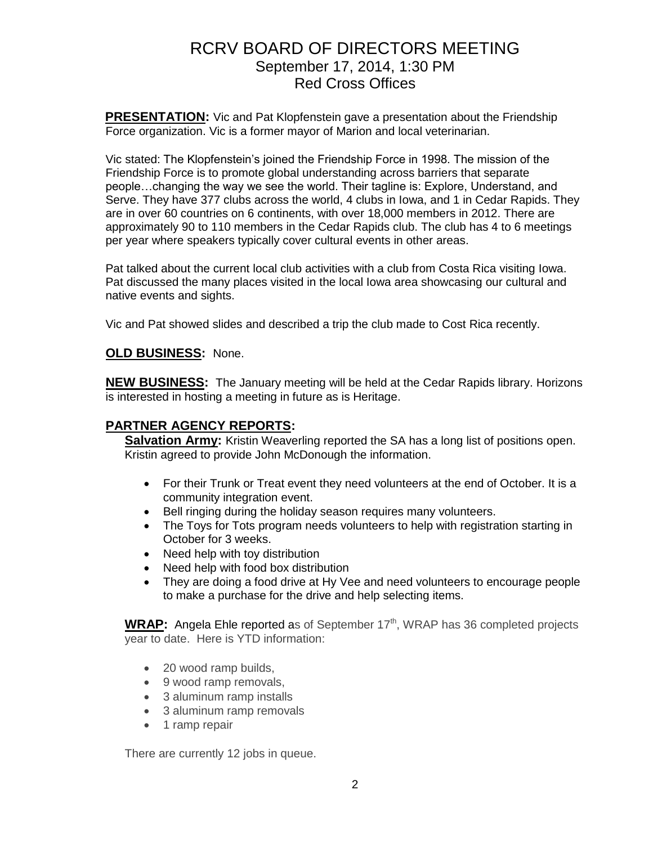**PRESENTATION:** Vic and Pat Klopfenstein gave a presentation about the Friendship Force organization. Vic is a former mayor of Marion and local veterinarian.

Vic stated: The Klopfenstein's joined the Friendship Force in 1998. The mission of the Friendship Force is to promote global understanding across barriers that separate people…changing the way we see the world. Their tagline is: Explore, Understand, and Serve. They have 377 clubs across the world, 4 clubs in Iowa, and 1 in Cedar Rapids. They are in over 60 countries on 6 continents, with over 18,000 members in 2012. There are approximately 90 to 110 members in the Cedar Rapids club. The club has 4 to 6 meetings per year where speakers typically cover cultural events in other areas.

Pat talked about the current local club activities with a club from Costa Rica visiting Iowa. Pat discussed the many places visited in the local Iowa area showcasing our cultural and native events and sights.

Vic and Pat showed slides and described a trip the club made to Cost Rica recently.

### **OLD BUSINESS:** None.

**NEW BUSINESS:** The January meeting will be held at the Cedar Rapids library. Horizons is interested in hosting a meeting in future as is Heritage.

## **PARTNER AGENCY REPORTS:**

Salvation Army: Kristin Weaverling reported the SA has a long list of positions open. Kristin agreed to provide John McDonough the information.

- For their Trunk or Treat event they need volunteers at the end of October. It is a community integration event.
- Bell ringing during the holiday season requires many volunteers.
- The Toys for Tots program needs volunteers to help with registration starting in October for 3 weeks.
- Need help with toy distribution
- Need help with food box distribution
- They are doing a food drive at Hy Vee and need volunteers to encourage people to make a purchase for the drive and help selecting items.

**WRAP:** Angela Ehle reported as of September 17<sup>th</sup>, WRAP has 36 completed projects year to date. Here is YTD information:

- 20 wood ramp builds,
- 9 wood ramp removals,
- 3 aluminum ramp installs
- 3 aluminum ramp removals
- 1 ramp repair

There are currently 12 jobs in queue.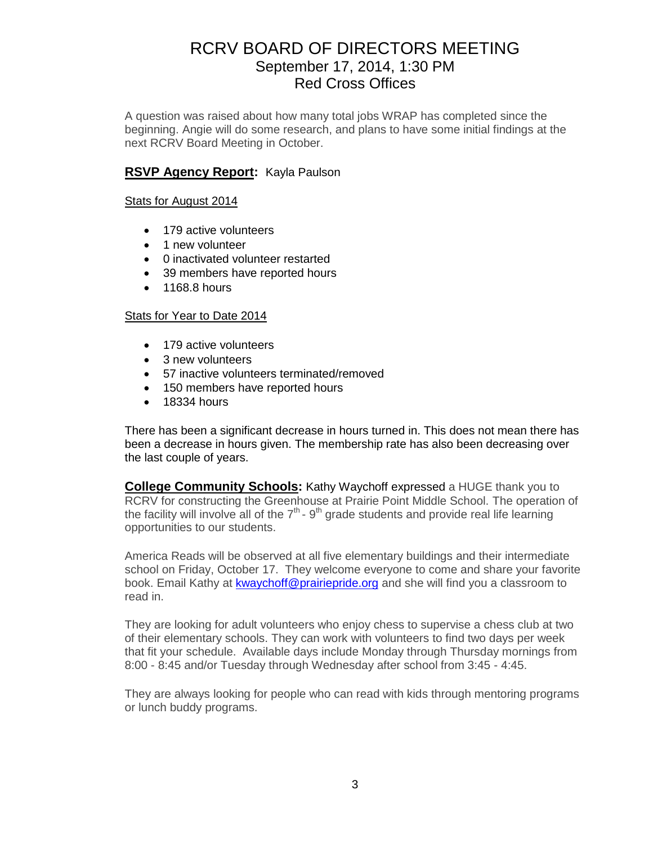A question was raised about how many total jobs WRAP has completed since the beginning. Angie will do some research, and plans to have some initial findings at the next RCRV Board Meeting in October.

### **RSVP Agency Report:** Kayla Paulson

#### Stats for August 2014

- 179 active volunteers
- 1 new volunteer
- 0 inactivated volunteer restarted
- 39 members have reported hours
- $\bullet$  1168.8 hours

#### Stats for Year to Date 2014

- 179 active volunteers
- 3 new volunteers
- 57 inactive volunteers terminated/removed
- 150 members have reported hours
- $\bullet$  18334 hours

There has been a significant decrease in hours turned in. This does not mean there has been a decrease in hours given. The membership rate has also been decreasing over the last couple of years.

**College Community Schools:** Kathy Waychoff expressed a HUGE thank you to RCRV for constructing the Greenhouse at Prairie Point Middle School. The operation of the facility will involve all of the  $7<sup>th</sup>$  - 9<sup>th</sup> grade students and provide real life learning opportunities to our students.

America Reads will be observed at all five elementary buildings and their intermediate school on Friday, October 17. They welcome everyone to come and share your favorite book. Email Kathy at [kwaychoff@prairiepride.org](mailto:kwaychoff@prairiepride.org) and she will find you a classroom to read in.

They are looking for adult volunteers who enjoy chess to supervise a chess club at two of their elementary schools. They can work with volunteers to find two days per week that fit your schedule. Available days include Monday through Thursday mornings from 8:00 - 8:45 and/or Tuesday through Wednesday after school from 3:45 - 4:45.

They are always looking for people who can read with kids through mentoring programs or lunch buddy programs.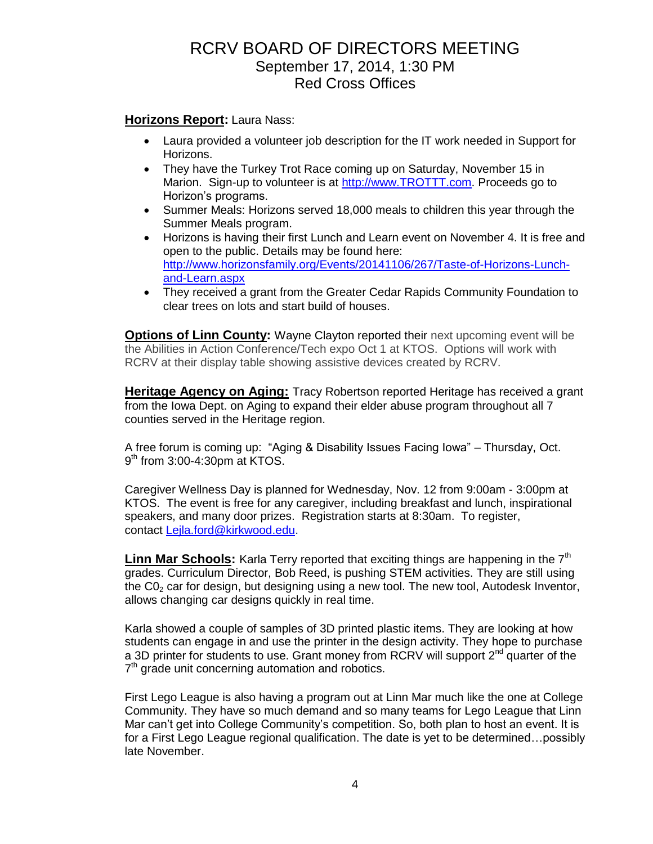**Horizons Report:** Laura Nass:

- Laura provided a volunteer job description for the IT work needed in Support for Horizons.
- They have the Turkey Trot Race coming up on Saturday, November 15 in Marion. Sign-up to volunteer is at [http://www.TROTTT.com.](http://www.trottt.com/) Proceeds go to Horizon's programs.
- Summer Meals: Horizons served 18,000 meals to children this year through the Summer Meals program.
- Horizons is having their first Lunch and Learn event on November 4. It is free and open to the public. Details may be found here: [http://www.horizonsfamily.org/Events/20141106/267/Taste-of-Horizons-Lunch](http://www.horizonsfamily.org/Events/20141106/267/Taste-of-Horizons-Lunch-and-Learn.aspx)[and-Learn.aspx](http://www.horizonsfamily.org/Events/20141106/267/Taste-of-Horizons-Lunch-and-Learn.aspx)
- They received a grant from the Greater Cedar Rapids Community Foundation to clear trees on lots and start build of houses.

**Options of Linn County:** Wayne Clayton reported their next upcoming event will be the Abilities in Action Conference/Tech expo Oct 1 at KTOS. Options will work with RCRV at their display table showing assistive devices created by RCRV.

**Heritage Agency on Aging:** Tracy Robertson reported Heritage has received a grant from the Iowa Dept. on Aging to expand their elder abuse program throughout all 7 counties served in the Heritage region.

A free forum is coming up: "Aging & Disability Issues Facing Iowa" – Thursday, Oct. 9<sup>th</sup> from 3:00-4:30pm at KTOS.

Caregiver Wellness Day is planned for Wednesday, Nov. 12 from 9:00am - 3:00pm at KTOS. The event is free for any caregiver, including breakfast and lunch, inspirational speakers, and many door prizes. Registration starts at 8:30am. To register, contact [Lejla.ford@kirkwood.edu.](mailto:Lejla.ford@kirkwood.edu)

**Linn Mar Schools:** Karla Terry reported that exciting things are happening in the 7<sup>th</sup> grades. Curriculum Director, Bob Reed, is pushing STEM activities. They are still using the  $CO<sub>2</sub>$  car for design, but designing using a new tool. The new tool, Autodesk Inventor, allows changing car designs quickly in real time.

Karla showed a couple of samples of 3D printed plastic items. They are looking at how students can engage in and use the printer in the design activity. They hope to purchase a 3D printer for students to use. Grant money from RCRV will support 2<sup>nd</sup> quarter of the  $7<sup>th</sup>$  grade unit concerning automation and robotics.

First Lego League is also having a program out at Linn Mar much like the one at College Community. They have so much demand and so many teams for Lego League that Linn Mar can't get into College Community's competition. So, both plan to host an event. It is for a First Lego League regional qualification. The date is yet to be determined…possibly late November.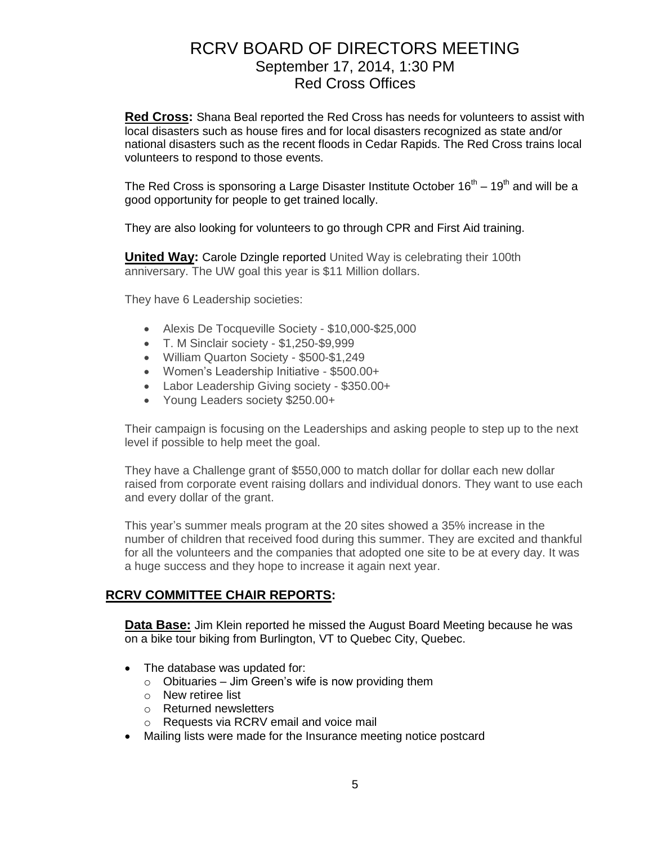**Red Cross:** Shana Beal reported the Red Cross has needs for volunteers to assist with local disasters such as house fires and for local disasters recognized as state and/or national disasters such as the recent floods in Cedar Rapids. The Red Cross trains local volunteers to respond to those events.

The Red Cross is sponsoring a Large Disaster Institute October 16<sup>th</sup> – 19<sup>th</sup> and will be a good opportunity for people to get trained locally.

They are also looking for volunteers to go through CPR and First Aid training.

**United Way: Carole Dzingle reported United Way is celebrating their 100th** anniversary. The UW goal this year is \$11 Million dollars.

They have 6 Leadership societies:

- Alexis De Tocqueville Society \$10,000-\$25,000
- T. M Sinclair society \$1,250-\$9,999
- William Quarton Society \$500-\$1,249
- Women's Leadership Initiative \$500.00+
- Labor Leadership Giving society \$350.00+
- Young Leaders society \$250.00+

Their campaign is focusing on the Leaderships and asking people to step up to the next level if possible to help meet the goal.

They have a Challenge grant of \$550,000 to match dollar for dollar each new dollar raised from corporate event raising dollars and individual donors. They want to use each and every dollar of the grant.

This year's summer meals program at the 20 sites showed a 35% increase in the number of children that received food during this summer. They are excited and thankful for all the volunteers and the companies that adopted one site to be at every day. It was a huge success and they hope to increase it again next year.

## **RCRV COMMITTEE CHAIR REPORTS:**

**Data Base:** Jim Klein reported he missed the August Board Meeting because he was on a bike tour biking from Burlington, VT to Quebec City, Quebec.

- The database was updated for:
	- $\circ$  Obituaries Jim Green's wife is now providing them
	- o New retiree list
	- o Returned newsletters
	- o Requests via RCRV email and voice mail
- Mailing lists were made for the Insurance meeting notice postcard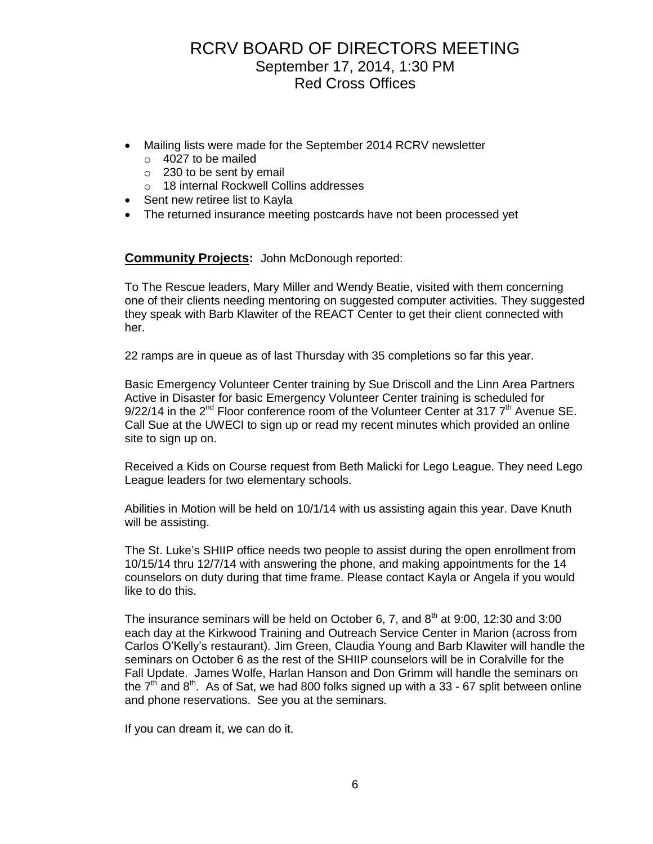- Mailing lists were made for the September 2014 RCRV newsletter
	- o 4027 to be mailed
	- o 230 to be sent by email
	- o 18 internal Rockwell Collins addresses
- Sent new retiree list to Kayla
- The returned insurance meeting postcards have not been processed yet

## **Community Projects:** John McDonough reported:

To The Rescue leaders, Mary Miller and Wendy Beatie, visited with them concerning one of their clients needing mentoring on suggested computer activities. They suggested they speak with Barb Klawiter of the REACT Center to get their client connected with her.

22 ramps are in queue as of last Thursday with 35 completions so far this year.

Basic Emergency Volunteer Center training by Sue Driscoll and the Linn Area Partners Active in Disaster for basic Emergency Volunteer Center training is scheduled for  $9/22/14$  in the  $2<sup>nd</sup>$  Floor conference room of the Volunteer Center at 317  $7<sup>th</sup>$  Avenue SE. Call Sue at the UWECI to sign up or read my recent minutes which provided an online site to sign up on.

Received a Kids on Course request from Beth Malicki for Lego League. They need Lego League leaders for two elementary schools.

Abilities in Motion will be held on 10/1/14 with us assisting again this year. Dave Knuth will be assisting.

The St. Luke's SHIIP office needs two people to assist during the open enrollment from 10/15/14 thru 12/7/14 with answering the phone, and making appointments for the 14 counselors on duty during that time frame. Please contact Kayla or Angela if you would like to do this.

The insurance seminars will be held on October 6, 7, and  $8<sup>th</sup>$  at 9:00, 12:30 and 3:00 each day at the Kirkwood Training and Outreach Service Center in Marion (across from Carlos O'Kelly's restaurant). Jim Green, Claudia Young and Barb Klawiter will handle the seminars on October 6 as the rest of the SHIIP counselors will be in Coralville for the Fall Update. James Wolfe, Harlan Hanson and Don Grimm will handle the seminars on the  $7<sup>th</sup>$  and  $8<sup>th</sup>$ . As of Sat, we had 800 folks signed up with a 33 - 67 split between online and phone reservations. See you at the seminars.

If you can dream it, we can do it.